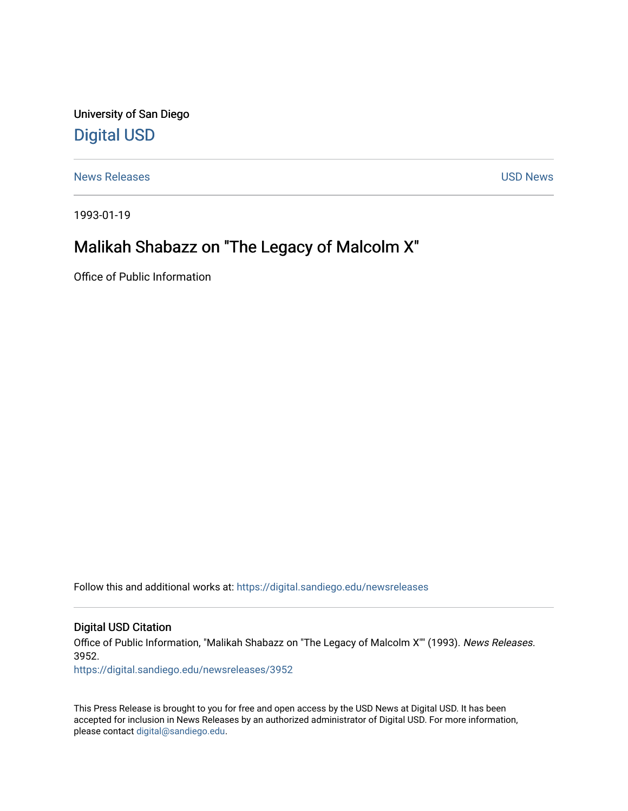University of San Diego [Digital USD](https://digital.sandiego.edu/)

[News Releases](https://digital.sandiego.edu/newsreleases) and the contract of the contract of the contract of the USD News

1993-01-19

## Malikah Shabazz on "The Legacy of Malcolm X"

Office of Public Information

Follow this and additional works at: [https://digital.sandiego.edu/newsreleases](https://digital.sandiego.edu/newsreleases?utm_source=digital.sandiego.edu%2Fnewsreleases%2F3952&utm_medium=PDF&utm_campaign=PDFCoverPages) 

Digital USD Citation

Office of Public Information, "Malikah Shabazz on "The Legacy of Malcolm X"" (1993). News Releases. 3952.

[https://digital.sandiego.edu/newsreleases/3952](https://digital.sandiego.edu/newsreleases/3952?utm_source=digital.sandiego.edu%2Fnewsreleases%2F3952&utm_medium=PDF&utm_campaign=PDFCoverPages) 

This Press Release is brought to you for free and open access by the USD News at Digital USD. It has been accepted for inclusion in News Releases by an authorized administrator of Digital USD. For more information, please contact [digital@sandiego.edu.](mailto:digital@sandiego.edu)